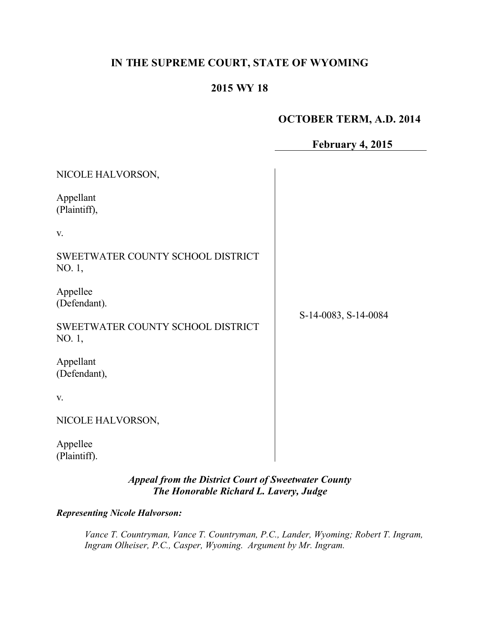# **IN THE SUPREME COURT, STATE OF WYOMING**

# **2015 WY 18**

# **OCTOBER TERM, A.D. 2014**

| February 4, 2015 |  |  |  |
|------------------|--|--|--|
|------------------|--|--|--|

| NICOLE HALVORSON,                           |                      |
|---------------------------------------------|----------------------|
| Appellant<br>(Plaintiff),                   |                      |
| V.                                          |                      |
| SWEETWATER COUNTY SCHOOL DISTRICT<br>NO. 1, |                      |
| Appellee<br>(Defendant).                    |                      |
| SWEETWATER COUNTY SCHOOL DISTRICT<br>NO. 1, | S-14-0083, S-14-0084 |
| Appellant<br>(Defendant),                   |                      |
| V.                                          |                      |
| NICOLE HALVORSON,                           |                      |
| Appellee<br>(Plaintiff).                    |                      |

## *Appeal from the District Court of Sweetwater County The Honorable Richard L. Lavery, Judge*

*Representing Nicole Halvorson:*

*Vance T. Countryman, Vance T. Countryman, P.C., Lander, Wyoming; Robert T. Ingram, Ingram Olheiser, P.C., Casper, Wyoming. Argument by Mr. Ingram.*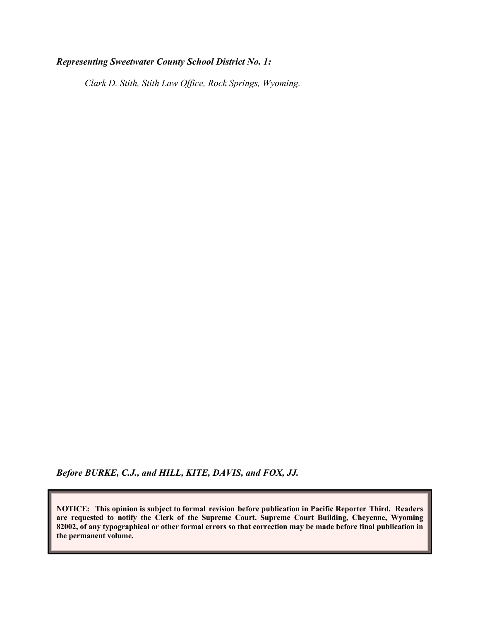### *Representing Sweetwater County School District No. 1:*

*Clark D. Stith, Stith Law Office, Rock Springs, Wyoming.*

*Before BURKE, C.J., and HILL, KITE, DAVIS, and FOX, JJ.*

**NOTICE: This opinion is subject to formal revision before publication in Pacific Reporter Third. Readers are requested to notify the Clerk of the Supreme Court, Supreme Court Building, Cheyenne, Wyoming 82002, of any typographical or other formal errors so that correction may be made before final publication in the permanent volume.**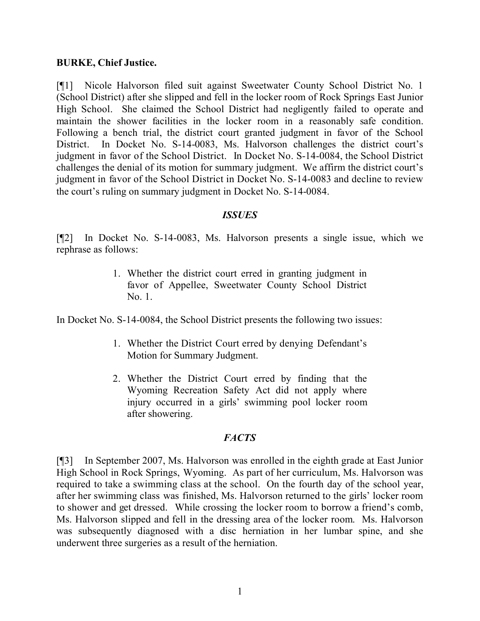#### **BURKE, Chief Justice.**

[¶1] Nicole Halvorson filed suit against Sweetwater County School District No. 1 (School District) after she slipped and fell in the locker room of Rock Springs East Junior High School. She claimed the School District had negligently failed to operate and maintain the shower facilities in the locker room in a reasonably safe condition. Following a bench trial, the district court granted judgment in favor of the School District. In Docket No. S-14-0083, Ms. Halvorson challenges the district court's judgment in favor of the School District. In Docket No. S-14-0084, the School District challenges the denial of its motion for summary judgment. We affirm the district court's judgment in favor of the School District in Docket No. S-14-0083 and decline to review the court's ruling on summary judgment in Docket No. S-14-0084.

### *ISSUES*

[¶2] In Docket No. S-14-0083, Ms. Halvorson presents a single issue, which we rephrase as follows:

> 1. Whether the district court erred in granting judgment in favor of Appellee, Sweetwater County School District No. 1.

In Docket No. S-14-0084, the School District presents the following two issues:

- 1. Whether the District Court erred by denying Defendant's Motion for Summary Judgment.
- 2. Whether the District Court erred by finding that the Wyoming Recreation Safety Act did not apply where injury occurred in a girls' swimming pool locker room after showering.

### *FACTS*

[¶3] In September 2007, Ms. Halvorson was enrolled in the eighth grade at East Junior High School in Rock Springs, Wyoming. As part of her curriculum, Ms. Halvorson was required to take a swimming class at the school. On the fourth day of the school year, after her swimming class was finished, Ms. Halvorson returned to the girls' locker room to shower and get dressed. While crossing the locker room to borrow a friend's comb, Ms. Halvorson slipped and fell in the dressing area of the locker room. Ms. Halvorson was subsequently diagnosed with a disc herniation in her lumbar spine, and she underwent three surgeries as a result of the herniation.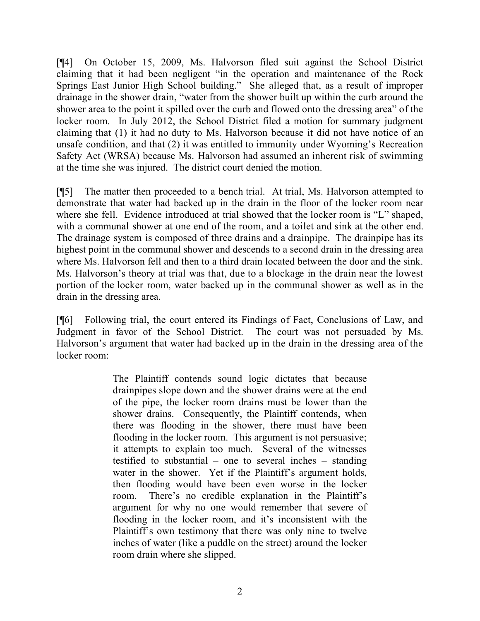[¶4] On October 15, 2009, Ms. Halvorson filed suit against the School District claiming that it had been negligent "in the operation and maintenance of the Rock Springs East Junior High School building." She alleged that, as a result of improper drainage in the shower drain, "water from the shower built up within the curb around the shower area to the point it spilled over the curb and flowed onto the dressing area" of the locker room. In July 2012, the School District filed a motion for summary judgment claiming that (1) it had no duty to Ms. Halvorson because it did not have notice of an unsafe condition, and that (2) it was entitled to immunity under Wyoming's Recreation Safety Act (WRSA) because Ms. Halvorson had assumed an inherent risk of swimming at the time she was injured. The district court denied the motion.

[¶5] The matter then proceeded to a bench trial. At trial, Ms. Halvorson attempted to demonstrate that water had backed up in the drain in the floor of the locker room near where she fell. Evidence introduced at trial showed that the locker room is "L" shaped, with a communal shower at one end of the room, and a toilet and sink at the other end. The drainage system is composed of three drains and a drainpipe. The drainpipe has its highest point in the communal shower and descends to a second drain in the dressing area where Ms. Halvorson fell and then to a third drain located between the door and the sink. Ms. Halvorson's theory at trial was that, due to a blockage in the drain near the lowest portion of the locker room, water backed up in the communal shower as well as in the drain in the dressing area.

[¶6] Following trial, the court entered its Findings of Fact, Conclusions of Law, and Judgment in favor of the School District. The court was not persuaded by Ms. Halvorson's argument that water had backed up in the drain in the dressing area of the locker room:

> The Plaintiff contends sound logic dictates that because drainpipes slope down and the shower drains were at the end of the pipe, the locker room drains must be lower than the shower drains. Consequently, the Plaintiff contends, when there was flooding in the shower, there must have been flooding in the locker room. This argument is not persuasive; it attempts to explain too much. Several of the witnesses testified to substantial – one to several inches – standing water in the shower. Yet if the Plaintiff's argument holds, then flooding would have been even worse in the locker room. There's no credible explanation in the Plaintiff's argument for why no one would remember that severe of flooding in the locker room, and it's inconsistent with the Plaintiff's own testimony that there was only nine to twelve inches of water (like a puddle on the street) around the locker room drain where she slipped.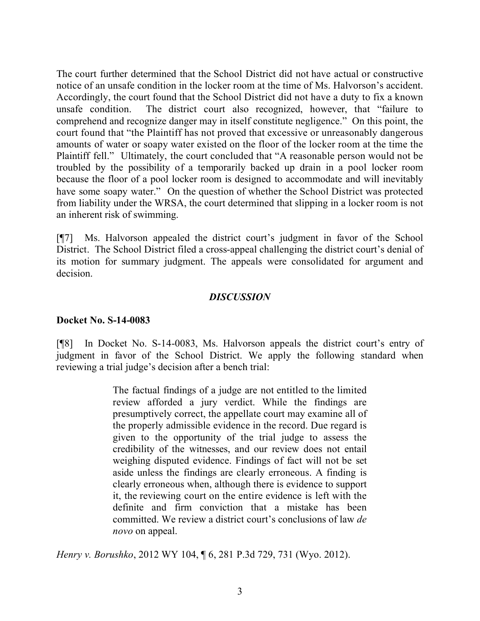The court further determined that the School District did not have actual or constructive notice of an unsafe condition in the locker room at the time of Ms. Halvorson's accident. Accordingly, the court found that the School District did not have a duty to fix a known unsafe condition. The district court also recognized, however, that "failure to comprehend and recognize danger may in itself constitute negligence." On this point, the court found that "the Plaintiff has not proved that excessive or unreasonably dangerous amounts of water or soapy water existed on the floor of the locker room at the time the Plaintiff fell." Ultimately, the court concluded that "A reasonable person would not be troubled by the possibility of a temporarily backed up drain in a pool locker room because the floor of a pool locker room is designed to accommodate and will inevitably have some soapy water." On the question of whether the School District was protected from liability under the WRSA, the court determined that slipping in a locker room is not an inherent risk of swimming.

[¶7] Ms. Halvorson appealed the district court's judgment in favor of the School District. The School District filed a cross-appeal challenging the district court's denial of its motion for summary judgment. The appeals were consolidated for argument and decision.

#### *DISCUSSION*

#### **Docket No. S-14-0083**

[¶8] In Docket No. S-14-0083, Ms. Halvorson appeals the district court's entry of judgment in favor of the School District. We apply the following standard when reviewing a trial judge's decision after a bench trial:

> The factual findings of a judge are not entitled to the limited review afforded a jury verdict. While the findings are presumptively correct, the appellate court may examine all of the properly admissible evidence in the record. Due regard is given to the opportunity of the trial judge to assess the credibility of the witnesses, and our review does not entail weighing disputed evidence. Findings of fact will not be set aside unless the findings are clearly erroneous. A finding is clearly erroneous when, although there is evidence to support it, the reviewing court on the entire evidence is left with the definite and firm conviction that a mistake has been committed. We review a district court's conclusions of law *de novo* on appeal.

*Henry v. Borushko*, 2012 WY 104, ¶ 6, 281 P.3d 729, 731 (Wyo. 2012).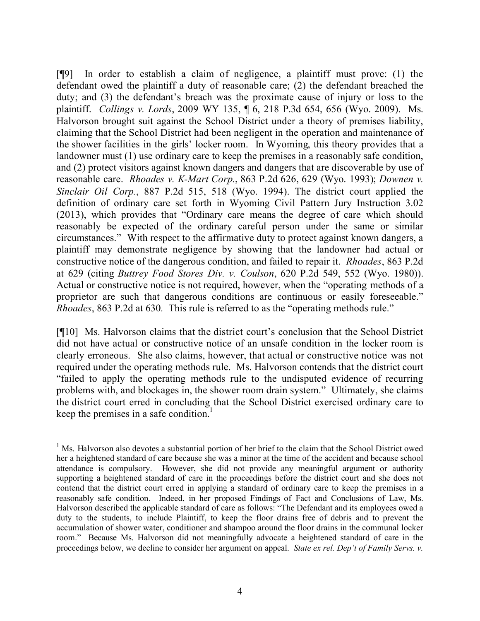[¶9] In order to establish a claim of negligence, a plaintiff must prove: (1) the defendant owed the plaintiff a duty of reasonable care; (2) the defendant breached the duty; and (3) the defendant's breach was the proximate cause of injury or loss to the plaintiff. *Collings v. Lords*, 2009 WY 135, ¶ 6, 218 P.3d 654, 656 (Wyo. 2009). Ms. Halvorson brought suit against the School District under a theory of premises liability, claiming that the School District had been negligent in the operation and maintenance of the shower facilities in the girls' locker room. In Wyoming, this theory provides that a landowner must (1) use ordinary care to keep the premises in a reasonably safe condition, and (2) protect visitors against known dangers and dangers that are discoverable by use of reasonable care. *Rhoades v. K-Mart Corp.*, 863 P.2d 626, 629 (Wyo. 1993); *Downen v. Sinclair Oil Corp.*, 887 P.2d 515, 518 (Wyo. 1994). The district court applied the definition of ordinary care set forth in Wyoming Civil Pattern Jury Instruction 3.02 (2013), which provides that "Ordinary care means the degree of care which should reasonably be expected of the ordinary careful person under the same or similar circumstances." With respect to the affirmative duty to protect against known dangers, a plaintiff may demonstrate negligence by showing that the landowner had actual or constructive notice of the dangerous condition, and failed to repair it. *Rhoades*, 863 P.2d at 629 (citing *Buttrey Food Stores Div. v. Coulson*, 620 P.2d 549, 552 (Wyo. 1980)). Actual or constructive notice is not required, however, when the "operating methods of a proprietor are such that dangerous conditions are continuous or easily foreseeable." *Rhoades*, 863 P.2d at 630*.* This rule is referred to as the "operating methods rule."

[¶10] Ms. Halvorson claims that the district court's conclusion that the School District did not have actual or constructive notice of an unsafe condition in the locker room is clearly erroneous. She also claims, however, that actual or constructive notice was not required under the operating methods rule. Ms. Halvorson contends that the district court "failed to apply the operating methods rule to the undisputed evidence of recurring problems with, and blockages in, the shower room drain system." Ultimately, she claims the district court erred in concluding that the School District exercised ordinary care to keep the premises in a safe condition.<sup>1</sup>

<sup>&</sup>lt;sup>1</sup> Ms. Halvorson also devotes a substantial portion of her brief to the claim that the School District owed her a heightened standard of care because she was a minor at the time of the accident and because school attendance is compulsory. However, she did not provide any meaningful argument or authority supporting a heightened standard of care in the proceedings before the district court and she does not contend that the district court erred in applying a standard of ordinary care to keep the premises in a reasonably safe condition. Indeed, in her proposed Findings of Fact and Conclusions of Law, Ms. Halvorson described the applicable standard of care as follows: "The Defendant and its employees owed a duty to the students, to include Plaintiff, to keep the floor drains free of debris and to prevent the accumulation of shower water, conditioner and shampoo around the floor drains in the communal locker room." Because Ms. Halvorson did not meaningfully advocate a heightened standard of care in the proceedings below, we decline to consider her argument on appeal. *State ex rel. Dep't of Family Servs. v.*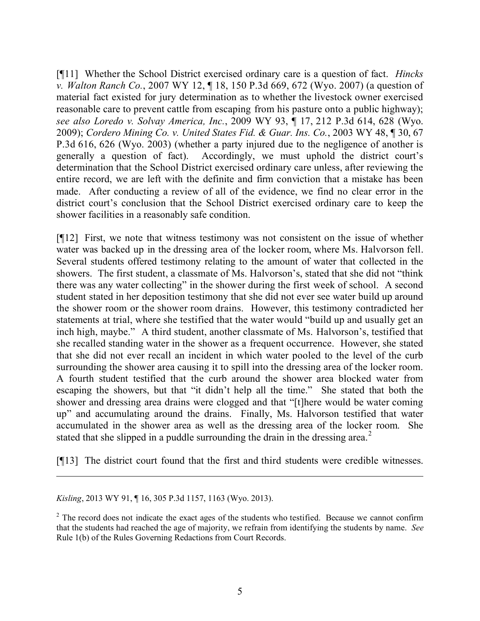[¶11] Whether the School District exercised ordinary care is a question of fact. *Hincks v. Walton Ranch Co.*, 2007 WY 12, ¶ 18, 150 P.3d 669, 672 (Wyo. 2007) (a question of material fact existed for jury determination as to whether the livestock owner exercised reasonable care to prevent cattle from escaping from his pasture onto a public highway); *see also Loredo v. Solvay America, Inc.*, 2009 WY 93, ¶ 17, 212 P.3d 614, 628 (Wyo. 2009); *Cordero Mining Co. v. United States Fid. & Guar. Ins. Co.*, 2003 WY 48, ¶ 30, 67 P.3d 616, 626 (Wyo. 2003) (whether a party injured due to the negligence of another is generally a question of fact). Accordingly, we must uphold the district court's determination that the School District exercised ordinary care unless, after reviewing the entire record, we are left with the definite and firm conviction that a mistake has been made. After conducting a review of all of the evidence, we find no clear error in the district court's conclusion that the School District exercised ordinary care to keep the shower facilities in a reasonably safe condition.

[¶12] First, we note that witness testimony was not consistent on the issue of whether water was backed up in the dressing area of the locker room, where Ms. Halvorson fell. Several students offered testimony relating to the amount of water that collected in the showers. The first student, a classmate of Ms. Halvorson's, stated that she did not "think there was any water collecting" in the shower during the first week of school. A second student stated in her deposition testimony that she did not ever see water build up around the shower room or the shower room drains. However, this testimony contradicted her statements at trial, where she testified that the water would "build up and usually get an inch high, maybe." A third student, another classmate of Ms. Halvorson's, testified that she recalled standing water in the shower as a frequent occurrence. However, she stated that she did not ever recall an incident in which water pooled to the level of the curb surrounding the shower area causing it to spill into the dressing area of the locker room. A fourth student testified that the curb around the shower area blocked water from escaping the showers, but that "it didn't help all the time." She stated that both the shower and dressing area drains were clogged and that "[t]here would be water coming up" and accumulating around the drains. Finally, Ms. Halvorson testified that water accumulated in the shower area as well as the dressing area of the locker room. She stated that she slipped in a puddle surrounding the drain in the dressing area.<sup>2</sup>

[¶13] The district court found that the first and third students were credible witnesses.

*Kisling*, 2013 WY 91, ¶ 16, 305 P.3d 1157, 1163 (Wyo. 2013).

 $\overline{a}$ 

<sup>2</sup> The record does not indicate the exact ages of the students who testified. Because we cannot confirm that the students had reached the age of majority, we refrain from identifying the students by name. *See* Rule 1(b) of the Rules Governing Redactions from Court Records.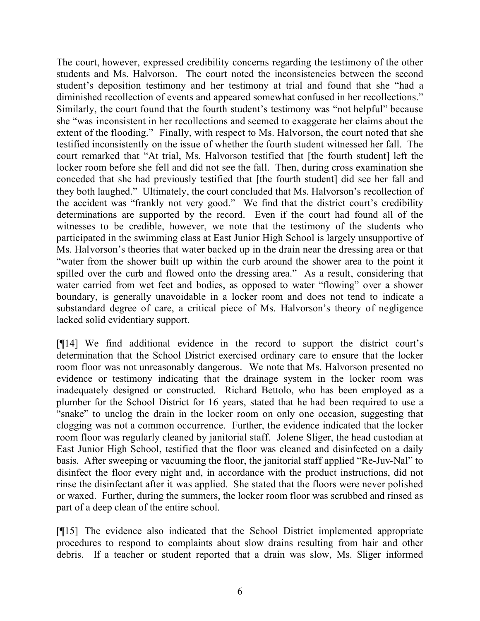The court, however, expressed credibility concerns regarding the testimony of the other students and Ms. Halvorson. The court noted the inconsistencies between the second student's deposition testimony and her testimony at trial and found that she "had a diminished recollection of events and appeared somewhat confused in her recollections." Similarly, the court found that the fourth student's testimony was "not helpful" because she "was inconsistent in her recollections and seemed to exaggerate her claims about the extent of the flooding." Finally, with respect to Ms. Halvorson, the court noted that she testified inconsistently on the issue of whether the fourth student witnessed her fall. The court remarked that "At trial, Ms. Halvorson testified that [the fourth student] left the locker room before she fell and did not see the fall. Then, during cross examination she conceded that she had previously testified that [the fourth student] did see her fall and they both laughed." Ultimately, the court concluded that Ms. Halvorson's recollection of the accident was "frankly not very good." We find that the district court's credibility determinations are supported by the record. Even if the court had found all of the witnesses to be credible, however, we note that the testimony of the students who participated in the swimming class at East Junior High School is largely unsupportive of Ms. Halvorson's theories that water backed up in the drain near the dressing area or that "water from the shower built up within the curb around the shower area to the point it spilled over the curb and flowed onto the dressing area." As a result, considering that water carried from wet feet and bodies, as opposed to water "flowing" over a shower boundary, is generally unavoidable in a locker room and does not tend to indicate a substandard degree of care, a critical piece of Ms. Halvorson's theory of negligence lacked solid evidentiary support.

[¶14] We find additional evidence in the record to support the district court's determination that the School District exercised ordinary care to ensure that the locker room floor was not unreasonably dangerous. We note that Ms. Halvorson presented no evidence or testimony indicating that the drainage system in the locker room was inadequately designed or constructed. Richard Bettolo, who has been employed as a plumber for the School District for 16 years, stated that he had been required to use a "snake" to unclog the drain in the locker room on only one occasion, suggesting that clogging was not a common occurrence. Further, the evidence indicated that the locker room floor was regularly cleaned by janitorial staff. Jolene Sliger, the head custodian at East Junior High School, testified that the floor was cleaned and disinfected on a daily basis. After sweeping or vacuuming the floor, the janitorial staff applied "Re-Juv-Nal" to disinfect the floor every night and, in accordance with the product instructions, did not rinse the disinfectant after it was applied. She stated that the floors were never polished or waxed. Further, during the summers, the locker room floor was scrubbed and rinsed as part of a deep clean of the entire school.

[¶15] The evidence also indicated that the School District implemented appropriate procedures to respond to complaints about slow drains resulting from hair and other debris. If a teacher or student reported that a drain was slow, Ms. Sliger informed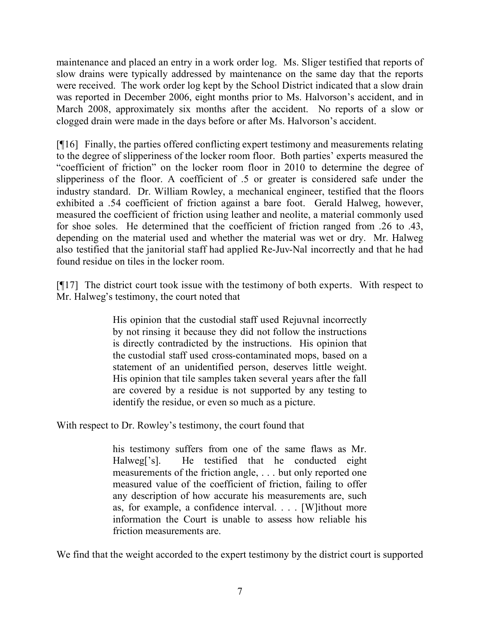maintenance and placed an entry in a work order log. Ms. Sliger testified that reports of slow drains were typically addressed by maintenance on the same day that the reports were received. The work order log kept by the School District indicated that a slow drain was reported in December 2006, eight months prior to Ms. Halvorson's accident, and in March 2008, approximately six months after the accident. No reports of a slow or clogged drain were made in the days before or after Ms. Halvorson's accident.

[¶16] Finally, the parties offered conflicting expert testimony and measurements relating to the degree of slipperiness of the locker room floor. Both parties' experts measured the "coefficient of friction" on the locker room floor in 2010 to determine the degree of slipperiness of the floor. A coefficient of .5 or greater is considered safe under the industry standard. Dr. William Rowley, a mechanical engineer, testified that the floors exhibited a .54 coefficient of friction against a bare foot. Gerald Halweg, however, measured the coefficient of friction using leather and neolite, a material commonly used for shoe soles. He determined that the coefficient of friction ranged from .26 to .43, depending on the material used and whether the material was wet or dry. Mr. Halweg also testified that the janitorial staff had applied Re-Juv-Nal incorrectly and that he had found residue on tiles in the locker room.

[¶17] The district court took issue with the testimony of both experts. With respect to Mr. Halweg's testimony, the court noted that

> His opinion that the custodial staff used Rejuvnal incorrectly by not rinsing it because they did not follow the instructions is directly contradicted by the instructions. His opinion that the custodial staff used cross-contaminated mops, based on a statement of an unidentified person, deserves little weight. His opinion that tile samples taken several years after the fall are covered by a residue is not supported by any testing to identify the residue, or even so much as a picture.

With respect to Dr. Rowley's testimony, the court found that

his testimony suffers from one of the same flaws as Mr. Halweg['s]. He testified that he conducted eight measurements of the friction angle, . . . but only reported one measured value of the coefficient of friction, failing to offer any description of how accurate his measurements are, such as, for example, a confidence interval. . . . [W]ithout more information the Court is unable to assess how reliable his friction measurements are.

We find that the weight accorded to the expert testimony by the district court is supported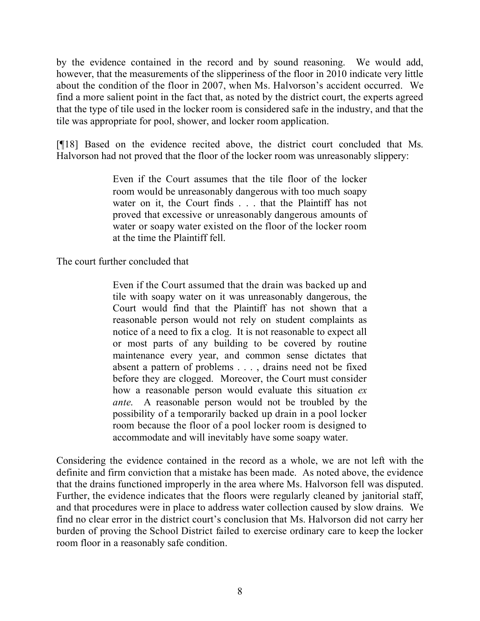by the evidence contained in the record and by sound reasoning. We would add, however, that the measurements of the slipperiness of the floor in 2010 indicate very little about the condition of the floor in 2007, when Ms. Halvorson's accident occurred. We find a more salient point in the fact that, as noted by the district court, the experts agreed that the type of tile used in the locker room is considered safe in the industry, and that the tile was appropriate for pool, shower, and locker room application.

[¶18] Based on the evidence recited above, the district court concluded that Ms. Halvorson had not proved that the floor of the locker room was unreasonably slippery:

> Even if the Court assumes that the tile floor of the locker room would be unreasonably dangerous with too much soapy water on it, the Court finds . . . that the Plaintiff has not proved that excessive or unreasonably dangerous amounts of water or soapy water existed on the floor of the locker room at the time the Plaintiff fell.

The court further concluded that

Even if the Court assumed that the drain was backed up and tile with soapy water on it was unreasonably dangerous, the Court would find that the Plaintiff has not shown that a reasonable person would not rely on student complaints as notice of a need to fix a clog. It is not reasonable to expect all or most parts of any building to be covered by routine maintenance every year, and common sense dictates that absent a pattern of problems . . . , drains need not be fixed before they are clogged. Moreover, the Court must consider how a reasonable person would evaluate this situation *ex ante*. A reasonable person would not be troubled by the possibility of a temporarily backed up drain in a pool locker room because the floor of a pool locker room is designed to accommodate and will inevitably have some soapy water.

Considering the evidence contained in the record as a whole, we are not left with the definite and firm conviction that a mistake has been made. As noted above, the evidence that the drains functioned improperly in the area where Ms. Halvorson fell was disputed. Further, the evidence indicates that the floors were regularly cleaned by janitorial staff, and that procedures were in place to address water collection caused by slow drains. We find no clear error in the district court's conclusion that Ms. Halvorson did not carry her burden of proving the School District failed to exercise ordinary care to keep the locker room floor in a reasonably safe condition.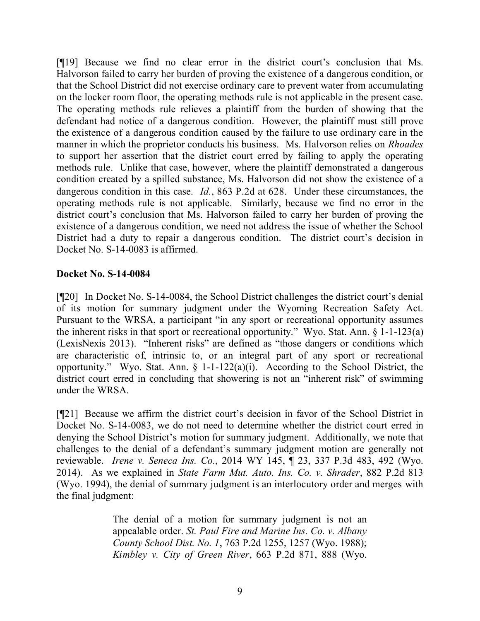[¶19] Because we find no clear error in the district court's conclusion that Ms. Halvorson failed to carry her burden of proving the existence of a dangerous condition, or that the School District did not exercise ordinary care to prevent water from accumulating on the locker room floor, the operating methods rule is not applicable in the present case. The operating methods rule relieves a plaintiff from the burden of showing that the defendant had notice of a dangerous condition. However, the plaintiff must still prove the existence of a dangerous condition caused by the failure to use ordinary care in the manner in which the proprietor conducts his business. Ms. Halvorson relies on *Rhoades*  to support her assertion that the district court erred by failing to apply the operating methods rule. Unlike that case, however, where the plaintiff demonstrated a dangerous condition created by a spilled substance, Ms. Halvorson did not show the existence of a dangerous condition in this case. *Id.*, 863 P.2d at 628. Under these circumstances, the operating methods rule is not applicable. Similarly, because we find no error in the district court's conclusion that Ms. Halvorson failed to carry her burden of proving the existence of a dangerous condition, we need not address the issue of whether the School District had a duty to repair a dangerous condition. The district court's decision in Docket No. S-14-0083 is affirmed.

#### **Docket No. S-14-0084**

[¶20] In Docket No. S-14-0084, the School District challenges the district court's denial of its motion for summary judgment under the Wyoming Recreation Safety Act. Pursuant to the WRSA, a participant "in any sport or recreational opportunity assumes the inherent risks in that sport or recreational opportunity." Wyo. Stat. Ann. § 1-1-123(a) (LexisNexis 2013). "Inherent risks" are defined as "those dangers or conditions which are characteristic of, intrinsic to, or an integral part of any sport or recreational opportunity." Wyo. Stat. Ann.  $\S$  1-1-122(a)(i). According to the School District, the district court erred in concluding that showering is not an "inherent risk" of swimming under the WRSA.

[¶21] Because we affirm the district court's decision in favor of the School District in Docket No. S-14-0083, we do not need to determine whether the district court erred in denying the School District's motion for summary judgment. Additionally, we note that challenges to the denial of a defendant's summary judgment motion are generally not reviewable. *Irene v. Seneca Ins. Co.*, 2014 WY 145, ¶ 23, 337 P.3d 483, 492 (Wyo. 2014). As we explained in *State Farm Mut. Auto. Ins. Co. v. Shrader*, 882 P.2d 813 (Wyo. 1994), the denial of summary judgment is an interlocutory order and merges with the final judgment:

> The denial of a motion for summary judgment is not an appealable order. *St. Paul Fire and Marine Ins. Co. v. Albany County School Dist. No. 1*, 763 P.2d 1255, 1257 (Wyo. 1988); *Kimbley v. City of Green River*, 663 P.2d 871, 888 (Wyo.